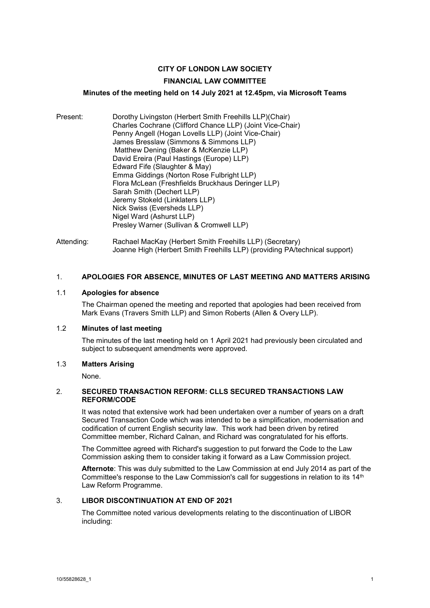# **CITY OF LONDON LAW SOCIETY**

# **FINANCIAL LAW COMMITTEE**

# **Minutes of the meeting held on 14 July 2021 at 12.45pm, via Microsoft Teams**

- Present: Dorothy Livingston (Herbert Smith Freehills LLP)(Chair) Charles Cochrane (Clifford Chance LLP) (Joint Vice-Chair) Penny Angell (Hogan Lovells LLP) (Joint Vice-Chair) James Bresslaw (Simmons & Simmons LLP) Matthew Dening (Baker & McKenzie LLP) David Ereira (Paul Hastings (Europe) LLP) Edward Fife (Slaughter & May) Emma Giddings (Norton Rose Fulbright LLP) Flora McLean (Freshfields Bruckhaus Deringer LLP) Sarah Smith (Dechert LLP) Jeremy Stokeld (Linklaters LLP) Nick Swiss (Eversheds LLP) Nigel Ward (Ashurst LLP) Presley Warner (Sullivan & Cromwell LLP)
- Attending: Rachael MacKay (Herbert Smith Freehills LLP) (Secretary) Joanne High (Herbert Smith Freehills LLP) (providing PA/technical support)

#### 1. **APOLOGIES FOR ABSENCE, MINUTES OF LAST MEETING AND MATTERS ARISING**

#### 1.1 **Apologies for absence**

The Chairman opened the meeting and reported that apologies had been received from Mark Evans (Travers Smith LLP) and Simon Roberts (Allen & Overy LLP).

#### 1.2 **Minutes of last meeting**

The minutes of the last meeting held on 1 April 2021 had previously been circulated and subject to subsequent amendments were approved.

#### 1.3 **Matters Arising**

None.

#### 2. **SECURED TRANSACTION REFORM: CLLS SECURED TRANSACTIONS LAW REFORM/CODE**

It was noted that extensive work had been undertaken over a number of years on a draft Secured Transaction Code which was intended to be a simplification, modernisation and codification of current English security law. This work had been driven by retired Committee member, Richard Calnan, and Richard was congratulated for his efforts.

The Committee agreed with Richard's suggestion to put forward the Code to the Law Commission asking them to consider taking it forward as a Law Commission project.

**Afternote**: This was duly submitted to the Law Commission at end July 2014 as part of the Committee's response to the Law Commission's call for suggestions in relation to its 14<sup>th</sup> Law Reform Programme.

# 3. **LIBOR DISCONTINUATION AT END OF 2021**

The Committee noted various developments relating to the discontinuation of LIBOR including: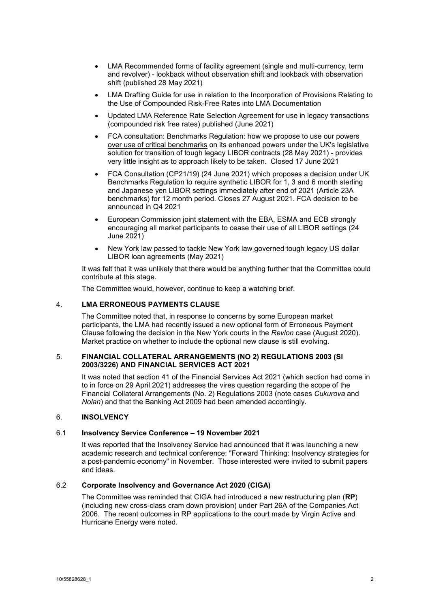- LMA Recommended forms of facility agreement (single and multi-currency, term and revolver) - lookback without observation shift and lookback with observation shift (published 28 May 2021)
- LMA Drafting Guide for use in relation to the Incorporation of Provisions Relating to the Use of Compounded Risk-Free Rates into LMA Documentation
- Updated LMA Reference Rate Selection Agreement for use in legacy transactions (compounded risk free rates) published (June 2021)
- FCA consultation: Benchmarks Regulation: how we propose to use our powers over use of critical benchmarks on its enhanced powers under the UK's legislative solution for transition of tough legacy LIBOR contracts (28 May 2021) - provides very little insight as to approach likely to be taken. Closed 17 June 2021
- FCA Consultation (CP21/19) (24 June 2021) which proposes a decision under UK Benchmarks Regulation to require synthetic LIBOR for 1, 3 and 6 month sterling and Japanese yen LIBOR settings immediately after end of 2021 (Article 23A benchmarks) for 12 month period. Closes 27 August 2021. FCA decision to be announced in Q4 2021
- European Commission joint statement with the EBA, ESMA and ECB strongly encouraging all market participants to cease their use of all LIBOR settings (24 June 2021)
- New York law passed to tackle New York law governed tough legacy US dollar LIBOR loan agreements (May 2021)

It was felt that it was unlikely that there would be anything further that the Committee could contribute at this stage.

The Committee would, however, continue to keep a watching brief.

#### 4. **LMA ERRONEOUS PAYMENTS CLAUSE**

The Committee noted that, in response to concerns by some European market participants, the LMA had recently issued a new optional form of Erroneous Payment Clause following the decision in the New York courts in the *Revlon* case (August 2020). Market practice on whether to include the optional new clause is still evolving.

#### 5. **FINANCIAL COLLATERAL ARRANGEMENTS (NO 2) REGULATIONS 2003 (SI 2003/3226) AND FINANCIAL SERVICES ACT 2021**

It was noted that section 41 of the Financial Services Act 2021 (which section had come in to in force on 29 April 2021) addresses the vires question regarding the scope of the Financial Collateral Arrangements (No. 2) Regulations 2003 (note cases *Cukurova* and *Nolan*) and that the Banking Act 2009 had been amended accordingly.

#### 6. **INSOLVENCY**

## 6.1 **Insolvency Service Conference – 19 November 2021**

It was reported that the Insolvency Service had announced that it was launching a new academic research and technical conference: "Forward Thinking: Insolvency strategies for a post-pandemic economy" in November. Those interested were invited to submit papers and ideas.

#### 6.2 **Corporate Insolvency and Governance Act 2020 (CIGA)**

The Committee was reminded that CIGA had introduced a new restructuring plan (**RP**) (including new cross-class cram down provision) under Part 26A of the Companies Act 2006. The recent outcomes in RP applications to the court made by Virgin Active and Hurricane Energy were noted.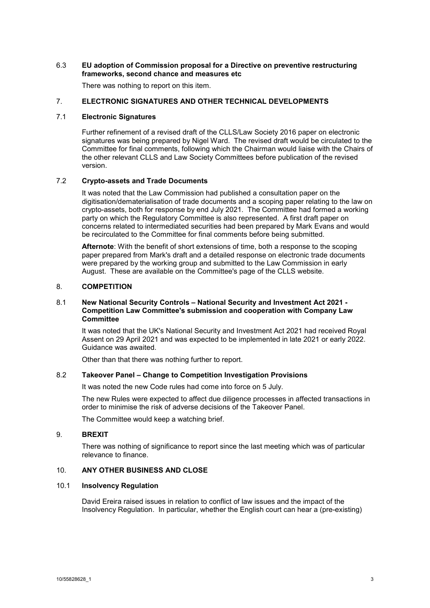#### 6.3 **EU adoption of Commission proposal for a Directive on preventive restructuring frameworks, second chance and measures etc**

There was nothing to report on this item.

# 7. **ELECTRONIC SIGNATURES AND OTHER TECHNICAL DEVELOPMENTS**

## 7.1 **Electronic Signatures**

Further refinement of a revised draft of the CLLS/Law Society 2016 paper on electronic signatures was being prepared by Nigel Ward. The revised draft would be circulated to the Committee for final comments, following which the Chairman would liaise with the Chairs of the other relevant CLLS and Law Society Committees before publication of the revised version.

#### 7.2 **Crypto-assets and Trade Documents**

It was noted that the Law Commission had published a consultation paper on the digitisation/dematerialisation of trade documents and a scoping paper relating to the law on crypto-assets, both for response by end July 2021. The Committee had formed a working party on which the Regulatory Committee is also represented. A first draft paper on concerns related to intermediated securities had been prepared by Mark Evans and would be recirculated to the Committee for final comments before being submitted.

**Afternote**: With the benefit of short extensions of time, both a response to the scoping paper prepared from Mark's draft and a detailed response on electronic trade documents were prepared by the working group and submitted to the Law Commission in early August. These are available on the Committee's page of the CLLS website.

#### 8. **COMPETITION**

#### 8.1 **New National Security Controls – National Security and Investment Act 2021 - Competition Law Committee's submission and cooperation with Company Law Committee**

It was noted that the UK's National Security and Investment Act 2021 had received Royal Assent on 29 April 2021 and was expected to be implemented in late 2021 or early 2022. Guidance was awaited.

Other than that there was nothing further to report.

# 8.2 **Takeover Panel – Change to Competition Investigation Provisions**

It was noted the new Code rules had come into force on 5 July.

The new Rules were expected to affect due diligence processes in affected transactions in order to minimise the risk of adverse decisions of the Takeover Panel.

The Committee would keep a watching brief.

#### 9. **BREXIT**

There was nothing of significance to report since the last meeting which was of particular relevance to finance.

#### 10. **ANY OTHER BUSINESS AND CLOSE**

#### 10.1 **Insolvency Regulation**

David Ereira raised issues in relation to conflict of law issues and the impact of the Insolvency Regulation. In particular, whether the English court can hear a (pre-existing)